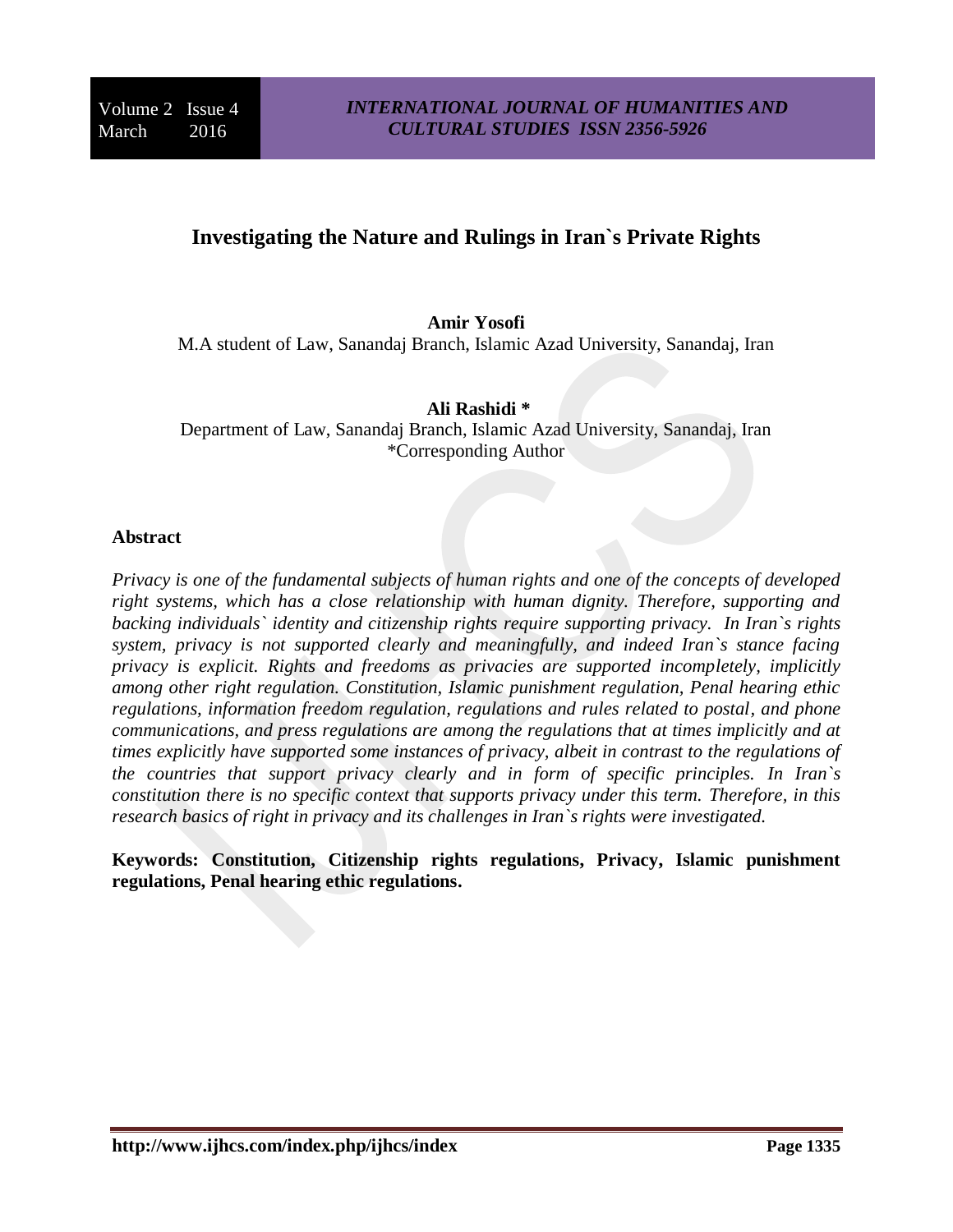# **Investigating the Nature and Rulings in Iran`s Private Rights**

#### **Amir Yosofi**

M.A student of Law, Sanandaj Branch, Islamic Azad University, Sanandaj, Iran

**Ali Rashidi \*** Department of Law, Sanandaj Branch, Islamic Azad University, Sanandaj, Iran \*Corresponding Author

#### **Abstract**

*Privacy is one of the fundamental subjects of human rights and one of the concepts of developed right systems, which has a close relationship with human dignity. Therefore, supporting and backing individuals` identity and citizenship rights require supporting privacy. In Iran`s rights system, privacy is not supported clearly and meaningfully, and indeed Iran`s stance facing privacy is explicit. Rights and freedoms as privacies are supported incompletely, implicitly among other right regulation. Constitution, Islamic punishment regulation, Penal hearing ethic regulations, information freedom regulation, regulations and rules related to postal, and phone communications, and press regulations are among the regulations that at times implicitly and at times explicitly have supported some instances of privacy, albeit in contrast to the regulations of the countries that support privacy clearly and in form of specific principles. In Iran`s constitution there is no specific context that supports privacy under this term. Therefore, in this research basics of right in privacy and its challenges in Iran`s rights were investigated.* 

**Keywords: Constitution, Citizenship rights regulations, Privacy, Islamic punishment regulations, Penal hearing ethic regulations.**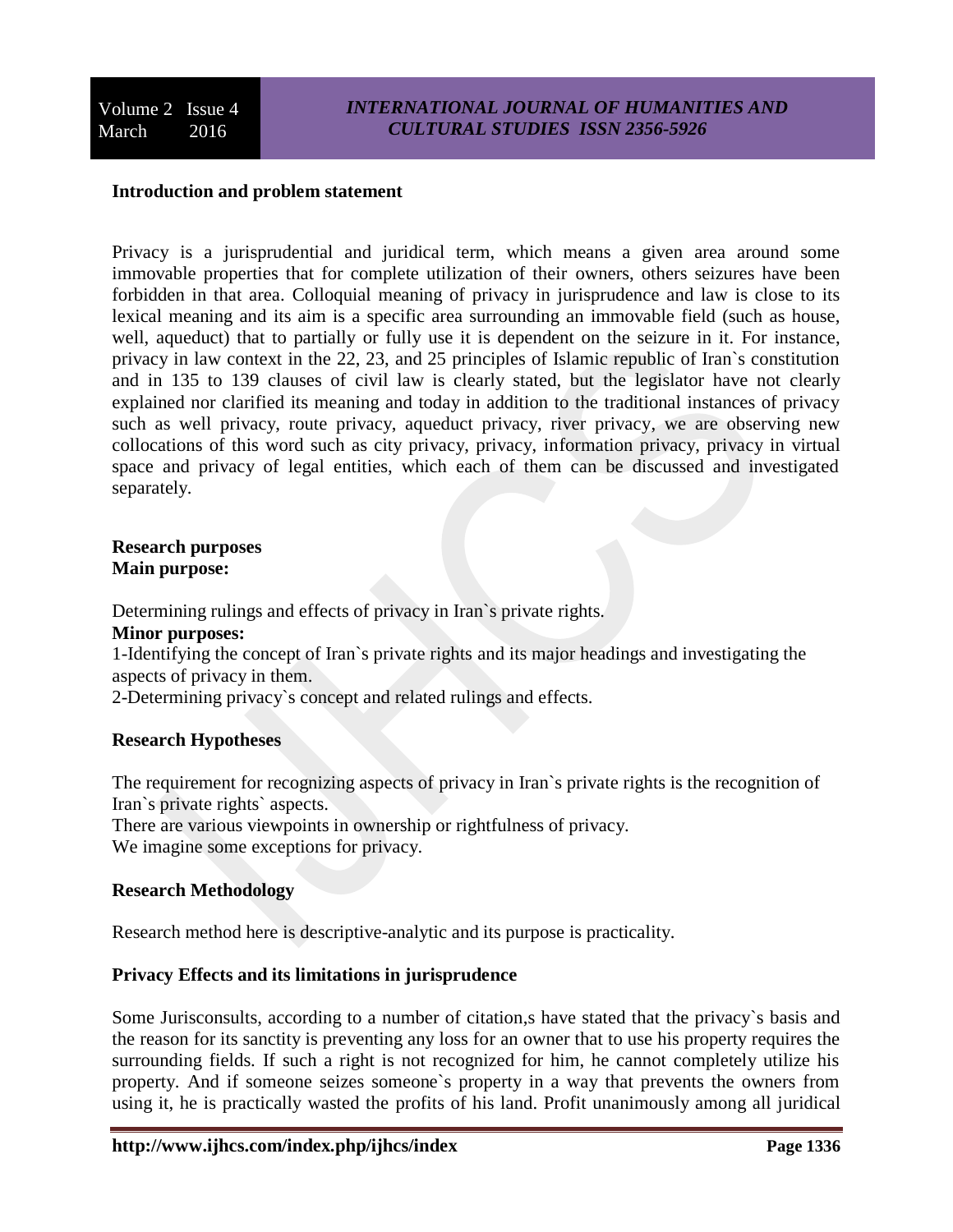#### **Introduction and problem statement**

Privacy is a jurisprudential and juridical term, which means a given area around some immovable properties that for complete utilization of their owners, others seizures have been forbidden in that area. Colloquial meaning of privacy in jurisprudence and law is close to its lexical meaning and its aim is a specific area surrounding an immovable field (such as house, well, aqueduct) that to partially or fully use it is dependent on the seizure in it. For instance, privacy in law context in the 22, 23, and 25 principles of Islamic republic of Iran`s constitution and in 135 to 139 clauses of civil law is clearly stated, but the legislator have not clearly explained nor clarified its meaning and today in addition to the traditional instances of privacy such as well privacy, route privacy, aqueduct privacy, river privacy, we are observing new collocations of this word such as city privacy, privacy, information privacy, privacy in virtual space and privacy of legal entities, which each of them can be discussed and investigated separately.

#### **Research purposes Main purpose:**

Determining rulings and effects of privacy in Iran`s private rights.

# **Minor purposes:**

1-Identifying the concept of Iran`s private rights and its major headings and investigating the aspects of privacy in them.

2-Determining privacy`s concept and related rulings and effects.

## **Research Hypotheses**

The requirement for recognizing aspects of privacy in Iran`s private rights is the recognition of Iran`s private rights` aspects.

There are various viewpoints in ownership or rightfulness of privacy.

We imagine some exceptions for privacy.

## **Research Methodology**

Research method here is descriptive-analytic and its purpose is practicality.

## **Privacy Effects and its limitations in jurisprudence**

Some Jurisconsults, according to a number of citation,s have stated that the privacy`s basis and the reason for its sanctity is preventing any loss for an owner that to use his property requires the surrounding fields. If such a right is not recognized for him, he cannot completely utilize his property. And if someone seizes someone`s property in a way that prevents the owners from using it, he is practically wasted the profits of his land. Profit unanimously among all juridical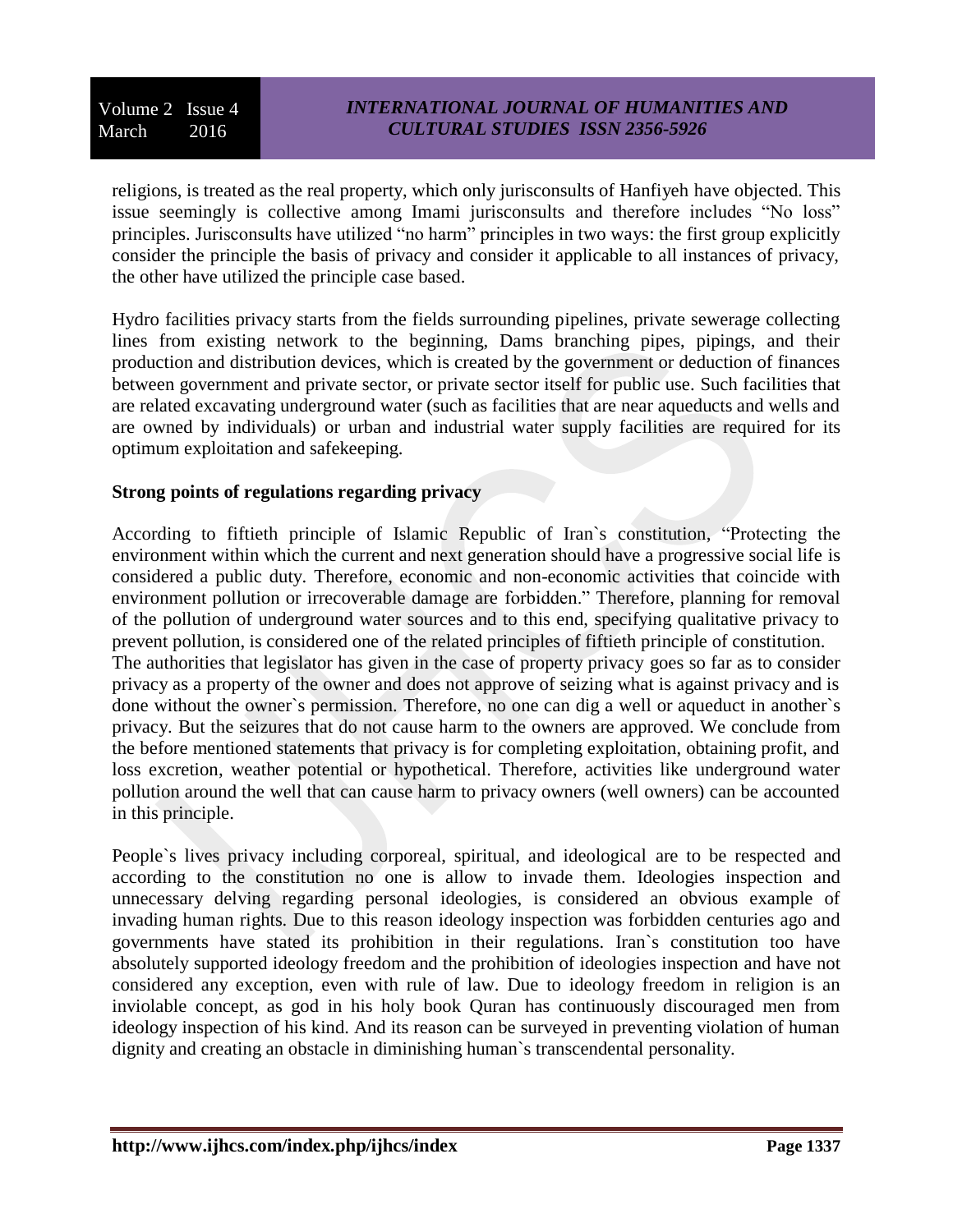religions, is treated as the real property, which only jurisconsults of Hanfiyeh have objected. This issue seemingly is collective among Imami jurisconsults and therefore includes "No loss" principles. Jurisconsults have utilized "no harm" principles in two ways: the first group explicitly consider the principle the basis of privacy and consider it applicable to all instances of privacy, the other have utilized the principle case based.

Hydro facilities privacy starts from the fields surrounding pipelines, private sewerage collecting lines from existing network to the beginning, Dams branching pipes, pipings, and their production and distribution devices, which is created by the government or deduction of finances between government and private sector, or private sector itself for public use. Such facilities that are related excavating underground water (such as facilities that are near aqueducts and wells and are owned by individuals) or urban and industrial water supply facilities are required for its optimum exploitation and safekeeping.

## **Strong points of regulations regarding privacy**

According to fiftieth principle of Islamic Republic of Iran`s constitution, "Protecting the environment within which the current and next generation should have a progressive social life is considered a public duty. Therefore, economic and non-economic activities that coincide with environment pollution or irrecoverable damage are forbidden." Therefore, planning for removal of the pollution of underground water sources and to this end, specifying qualitative privacy to prevent pollution, is considered one of the related principles of fiftieth principle of constitution. The authorities that legislator has given in the case of property privacy goes so far as to consider privacy as a property of the owner and does not approve of seizing what is against privacy and is done without the owner`s permission. Therefore, no one can dig a well or aqueduct in another`s privacy. But the seizures that do not cause harm to the owners are approved. We conclude from the before mentioned statements that privacy is for completing exploitation, obtaining profit, and loss excretion, weather potential or hypothetical. Therefore, activities like underground water pollution around the well that can cause harm to privacy owners (well owners) can be accounted in this principle.

People`s lives privacy including corporeal, spiritual, and ideological are to be respected and according to the constitution no one is allow to invade them. Ideologies inspection and unnecessary delving regarding personal ideologies, is considered an obvious example of invading human rights. Due to this reason ideology inspection was forbidden centuries ago and governments have stated its prohibition in their regulations. Iran`s constitution too have absolutely supported ideology freedom and the prohibition of ideologies inspection and have not considered any exception, even with rule of law. Due to ideology freedom in religion is an inviolable concept, as god in his holy book Quran has continuously discouraged men from ideology inspection of his kind. And its reason can be surveyed in preventing violation of human dignity and creating an obstacle in diminishing human`s transcendental personality.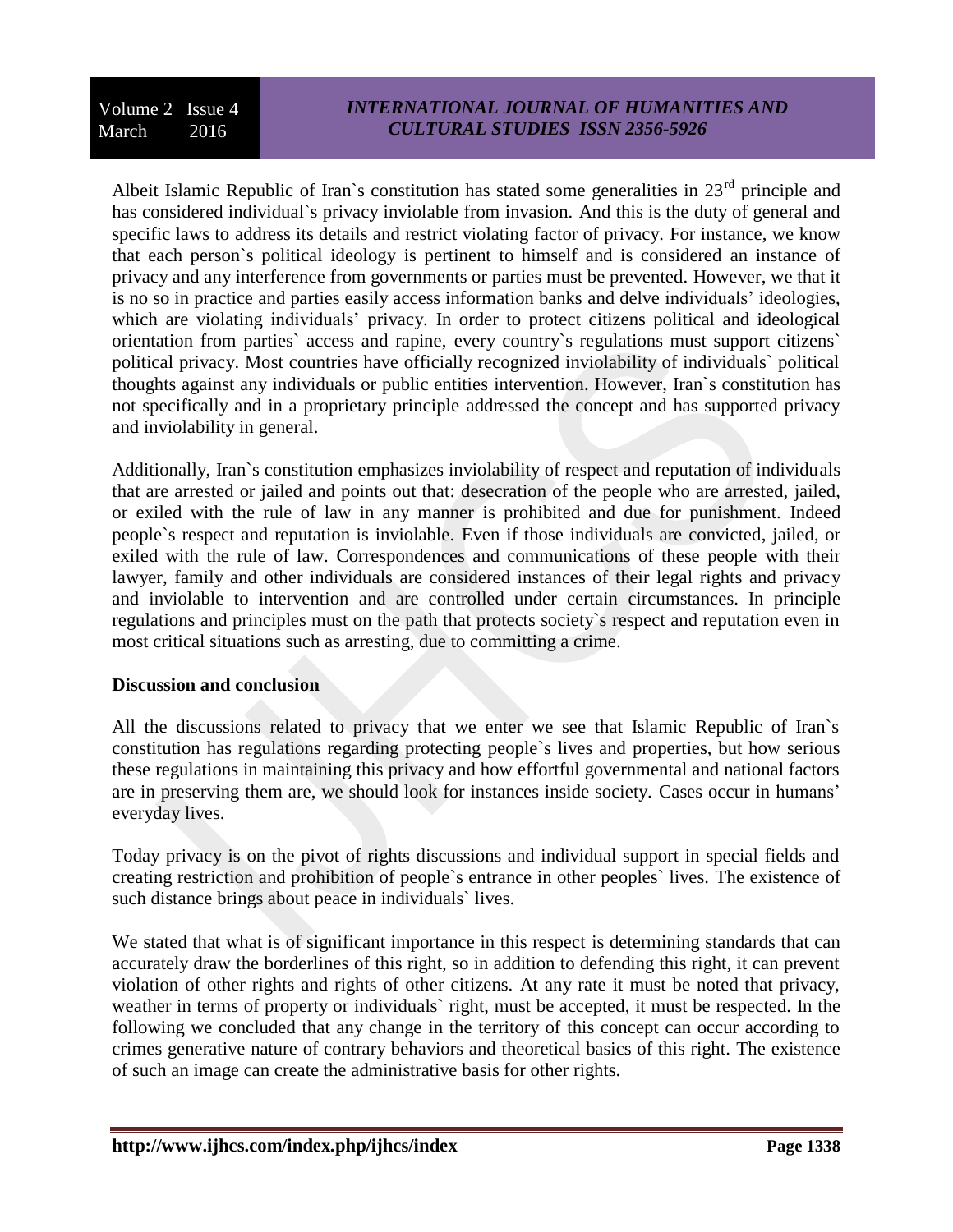Albeit Islamic Republic of Iran's constitution has stated some generalities in  $23<sup>rd</sup>$  principle and has considered individual`s privacy inviolable from invasion. And this is the duty of general and specific laws to address its details and restrict violating factor of privacy. For instance, we know that each person`s political ideology is pertinent to himself and is considered an instance of privacy and any interference from governments or parties must be prevented. However, we that it is no so in practice and parties easily access information banks and delve individuals' ideologies, which are violating individuals' privacy. In order to protect citizens political and ideological orientation from parties` access and rapine, every country`s regulations must support citizens` political privacy. Most countries have officially recognized inviolability of individuals` political thoughts against any individuals or public entities intervention. However, Iran`s constitution has not specifically and in a proprietary principle addressed the concept and has supported privacy and inviolability in general.

Additionally, Iran`s constitution emphasizes inviolability of respect and reputation of individuals that are arrested or jailed and points out that: desecration of the people who are arrested, jailed, or exiled with the rule of law in any manner is prohibited and due for punishment. Indeed people`s respect and reputation is inviolable. Even if those individuals are convicted, jailed, or exiled with the rule of law. Correspondences and communications of these people with their lawyer, family and other individuals are considered instances of their legal rights and privacy and inviolable to intervention and are controlled under certain circumstances. In principle regulations and principles must on the path that protects society`s respect and reputation even in most critical situations such as arresting, due to committing a crime.

# **Discussion and conclusion**

All the discussions related to privacy that we enter we see that Islamic Republic of Iran`s constitution has regulations regarding protecting people`s lives and properties, but how serious these regulations in maintaining this privacy and how effortful governmental and national factors are in preserving them are, we should look for instances inside society. Cases occur in humans' everyday lives.

Today privacy is on the pivot of rights discussions and individual support in special fields and creating restriction and prohibition of people`s entrance in other peoples` lives. The existence of such distance brings about peace in individuals` lives.

We stated that what is of significant importance in this respect is determining standards that can accurately draw the borderlines of this right, so in addition to defending this right, it can prevent violation of other rights and rights of other citizens. At any rate it must be noted that privacy, weather in terms of property or individuals` right, must be accepted, it must be respected. In the following we concluded that any change in the territory of this concept can occur according to crimes generative nature of contrary behaviors and theoretical basics of this right. The existence of such an image can create the administrative basis for other rights.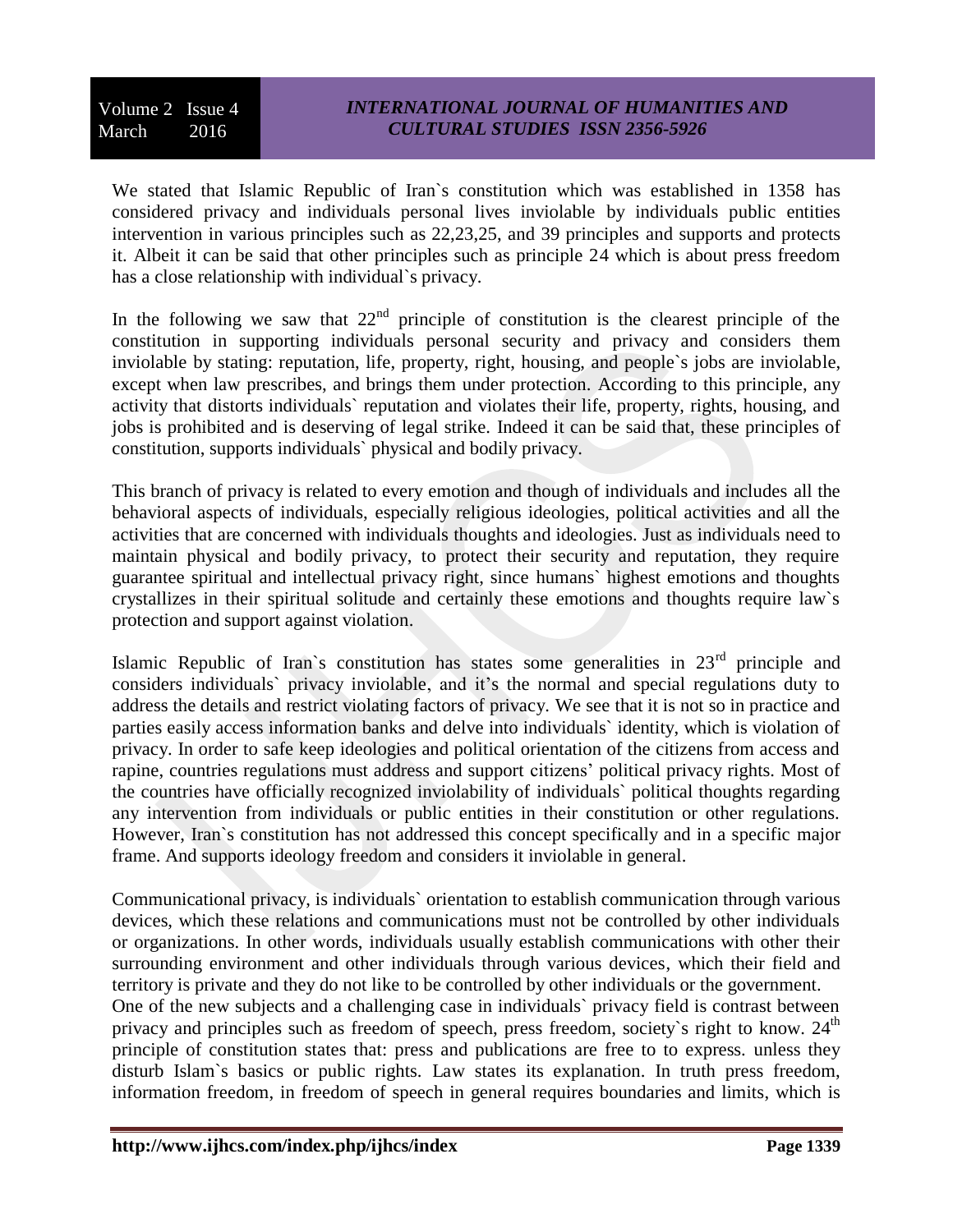We stated that Islamic Republic of Iran`s constitution which was established in 1358 has considered privacy and individuals personal lives inviolable by individuals public entities intervention in various principles such as 22,23,25, and 39 principles and supports and protects it. Albeit it can be said that other principles such as principle 24 which is about press freedom has a close relationship with individual`s privacy.

In the following we saw that  $22<sup>nd</sup>$  principle of constitution is the clearest principle of the constitution in supporting individuals personal security and privacy and considers them inviolable by stating: reputation, life, property, right, housing, and people`s jobs are inviolable, except when law prescribes, and brings them under protection. According to this principle, any activity that distorts individuals` reputation and violates their life, property, rights, housing, and jobs is prohibited and is deserving of legal strike. Indeed it can be said that, these principles of constitution, supports individuals` physical and bodily privacy.

This branch of privacy is related to every emotion and though of individuals and includes all the behavioral aspects of individuals, especially religious ideologies, political activities and all the activities that are concerned with individuals thoughts and ideologies. Just as individuals need to maintain physical and bodily privacy, to protect their security and reputation, they require guarantee spiritual and intellectual privacy right, since humans` highest emotions and thoughts crystallizes in their spiritual solitude and certainly these emotions and thoughts require law`s protection and support against violation.

Islamic Republic of Iran's constitution has states some generalities in 23<sup>rd</sup> principle and considers individuals` privacy inviolable, and it's the normal and special regulations duty to address the details and restrict violating factors of privacy. We see that it is not so in practice and parties easily access information banks and delve into individuals` identity, which is violation of privacy. In order to safe keep ideologies and political orientation of the citizens from access and rapine, countries regulations must address and support citizens' political privacy rights. Most of the countries have officially recognized inviolability of individuals` political thoughts regarding any intervention from individuals or public entities in their constitution or other regulations. However, Iran`s constitution has not addressed this concept specifically and in a specific major frame. And supports ideology freedom and considers it inviolable in general.

Communicational privacy, is individuals` orientation to establish communication through various devices, which these relations and communications must not be controlled by other individuals or organizations. In other words, individuals usually establish communications with other their surrounding environment and other individuals through various devices, which their field and territory is private and they do not like to be controlled by other individuals or the government. One of the new subjects and a challenging case in individuals` privacy field is contrast between privacy and principles such as freedom of speech, press freedom, society's right to know.  $24<sup>th</sup>$ principle of constitution states that: press and publications are free to to express. unless they disturb Islam`s basics or public rights. Law states its explanation. In truth press freedom, information freedom, in freedom of speech in general requires boundaries and limits, which is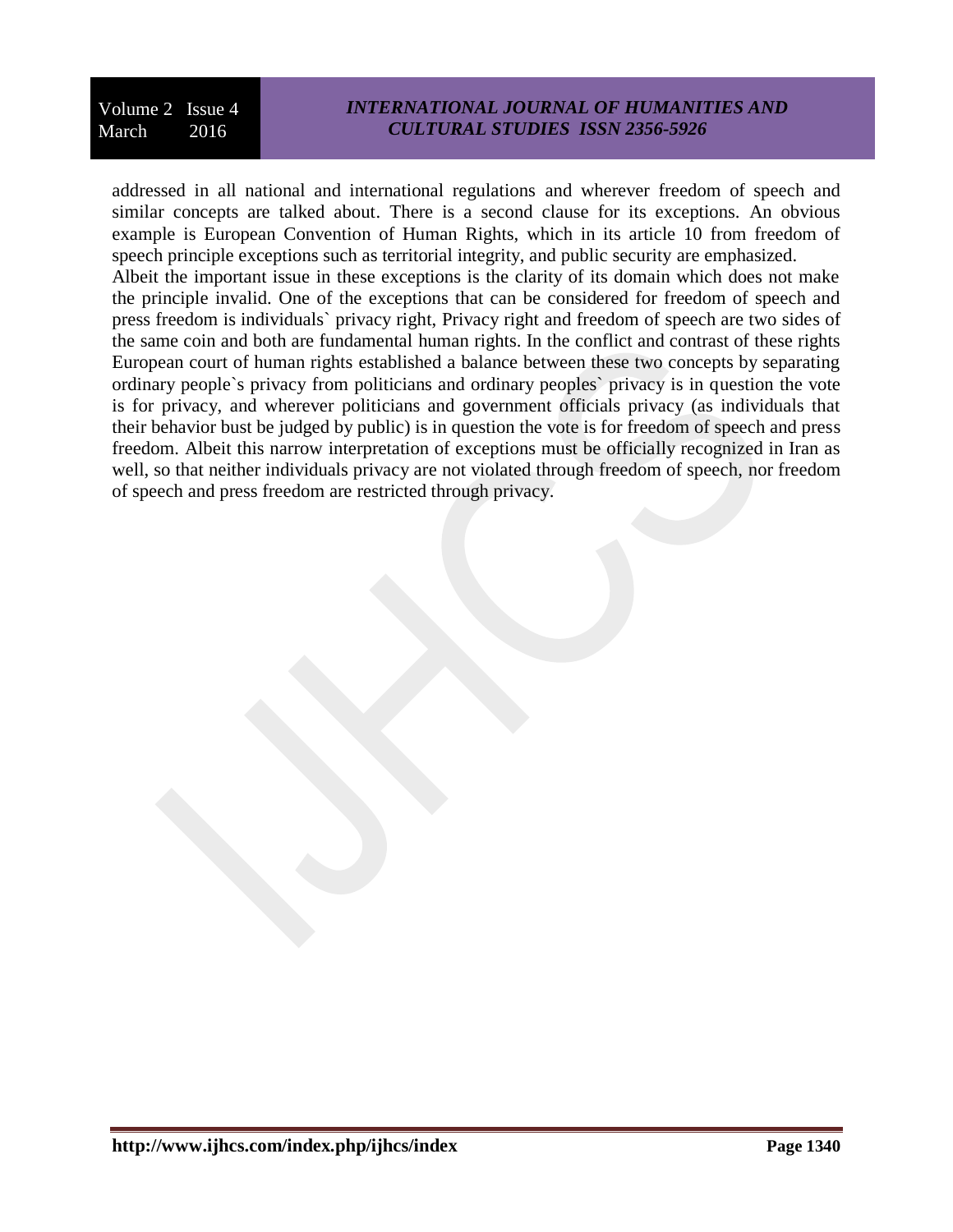# *INTERNATIONAL JOURNAL OF HUMANITIES AND CULTURAL STUDIES ISSN 2356-5926*

addressed in all national and international regulations and wherever freedom of speech and similar concepts are talked about. There is a second clause for its exceptions. An obvious example is European Convention of Human Rights, which in its article 10 from freedom of speech principle exceptions such as territorial integrity, and public security are emphasized. Albeit the important issue in these exceptions is the clarity of its domain which does not make the principle invalid. One of the exceptions that can be considered for freedom of speech and press freedom is individuals` privacy right, Privacy right and freedom of speech are two sides of the same coin and both are fundamental human rights. In the conflict and contrast of these rights European court of human rights established a balance between these two concepts by separating ordinary people`s privacy from politicians and ordinary peoples` privacy is in question the vote is for privacy, and wherever politicians and government officials privacy (as individuals that their behavior bust be judged by public) is in question the vote is for freedom of speech and press freedom. Albeit this narrow interpretation of exceptions must be officially recognized in Iran as well, so that neither individuals privacy are not violated through freedom of speech, nor freedom of speech and press freedom are restricted through privacy.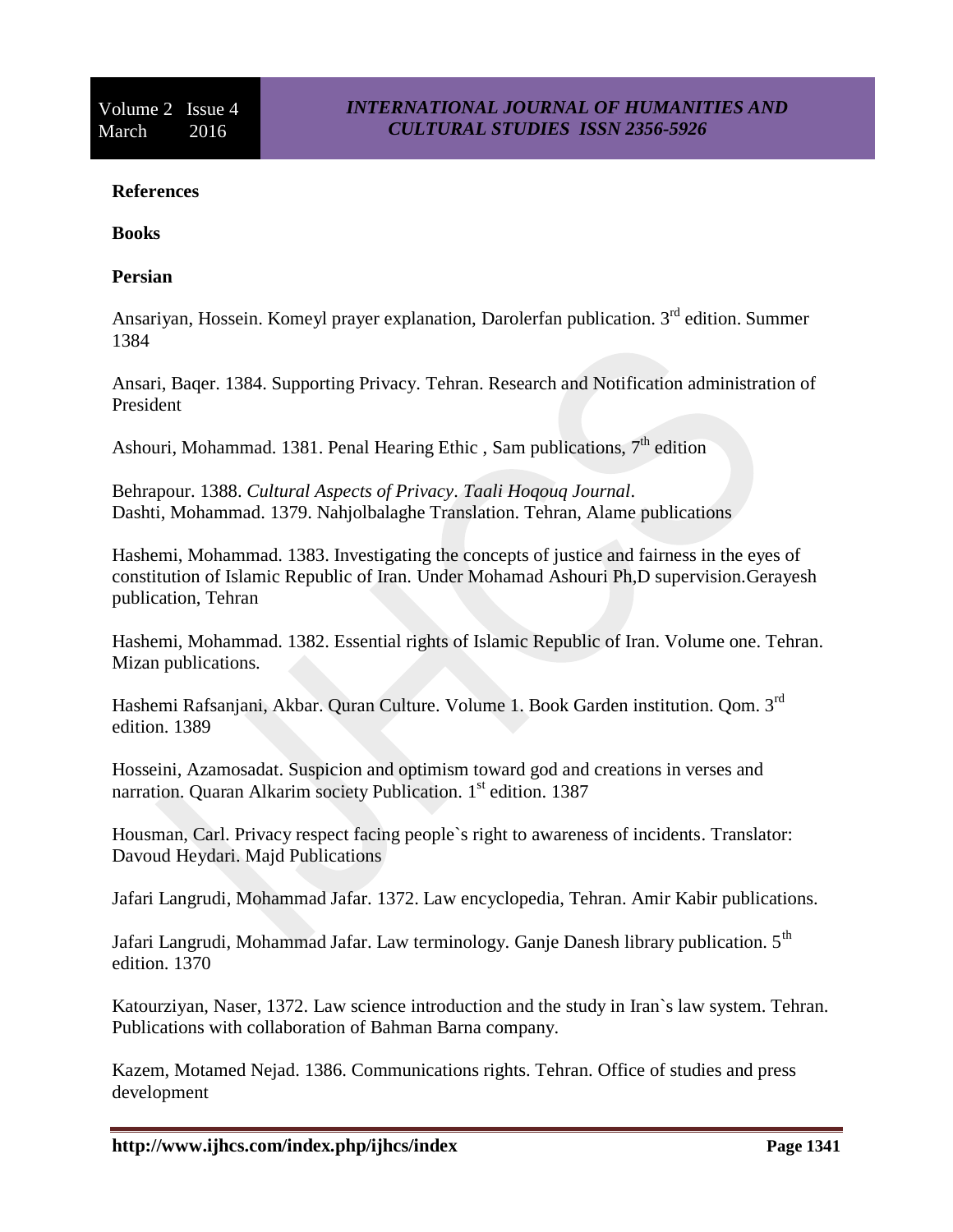#### **References**

**Books**

#### **Persian**

Ansariyan, Hossein. Komeyl prayer explanation, Darolerfan publication. 3<sup>rd</sup> edition. Summer 1384

Ansari, Baqer. 1384. Supporting Privacy. Tehran. Research and Notification administration of President

Ashouri, Mohammad. 1381. Penal Hearing Ethic, Sam publications,  $7<sup>th</sup>$  edition

Behrapour. 1388. *Cultural Aspects of Privacy. Taali Hoqouq Journal*. Dashti, Mohammad. 1379. Nahjolbalaghe Translation. Tehran, Alame publications

Hashemi, Mohammad. 1383. Investigating the concepts of justice and fairness in the eyes of constitution of Islamic Republic of Iran. Under Mohamad Ashouri Ph,D supervision.Gerayesh publication, Tehran

Hashemi, Mohammad. 1382. Essential rights of Islamic Republic of Iran. Volume one. Tehran. Mizan publications.

Hashemi Rafsanjani, Akbar. Quran Culture. Volume 1. Book Garden institution. Qom. 3rd edition. 1389

Hosseini, Azamosadat. Suspicion and optimism toward god and creations in verses and narration. Quaran Alkarim society Publication. 1<sup>st</sup> edition. 1387

Housman, Carl. Privacy respect facing people`s right to awareness of incidents. Translator: Davoud Heydari. Majd Publications

Jafari Langrudi, Mohammad Jafar. 1372. Law encyclopedia, Tehran. Amir Kabir publications.

Jafari Langrudi, Mohammad Jafar. Law terminology. Ganje Danesh library publication.  $5<sup>th</sup>$ edition. 1370

Katourziyan, Naser, 1372. Law science introduction and the study in Iran`s law system. Tehran. Publications with collaboration of Bahman Barna company.

Kazem, Motamed Nejad. 1386. Communications rights. Tehran. Office of studies and press development